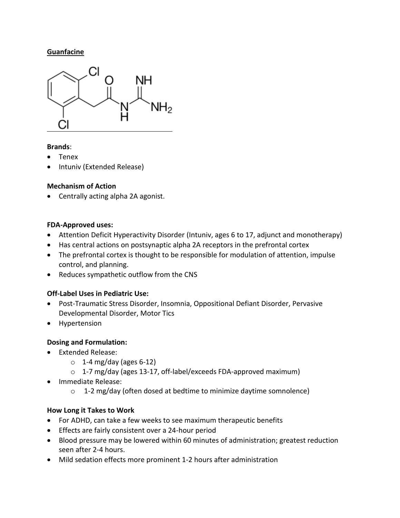### **Guanfacine**



#### **Brands**:

- Tenex
- Intuniv (Extended Release)

### **Mechanism of Action**

Centrally acting alpha 2A agonist.

#### **FDA-Approved uses:**

- Attention Deficit Hyperactivity Disorder (Intuniv, ages 6 to 17, adjunct and monotherapy)
- Has central actions on postsynaptic alpha 2A receptors in the prefrontal cortex
- The prefrontal cortex is thought to be responsible for modulation of attention, impulse control, and planning.
- Reduces sympathetic outflow from the CNS

## **Off-Label Uses in Pediatric Use:**

- Post-Traumatic Stress Disorder, Insomnia, Oppositional Defiant Disorder, Pervasive Developmental Disorder, Motor Tics
- Hypertension

## **Dosing and Formulation:**

- Extended Release:
	- $\circ$  1-4 mg/day (ages 6-12)
	- o 1-7 mg/day (ages 13-17, off-label/exceeds FDA-approved maximum)
- Immediate Release:
	- o 1-2 mg/day (often dosed at bedtime to minimize daytime somnolence)

## **How Long it Takes to Work**

- For ADHD, can take a few weeks to see maximum therapeutic benefits
- **Effects are fairly consistent over a 24-hour period**
- Blood pressure may be lowered within 60 minutes of administration; greatest reduction seen after 2-4 hours.
- Mild sedation effects more prominent 1-2 hours after administration